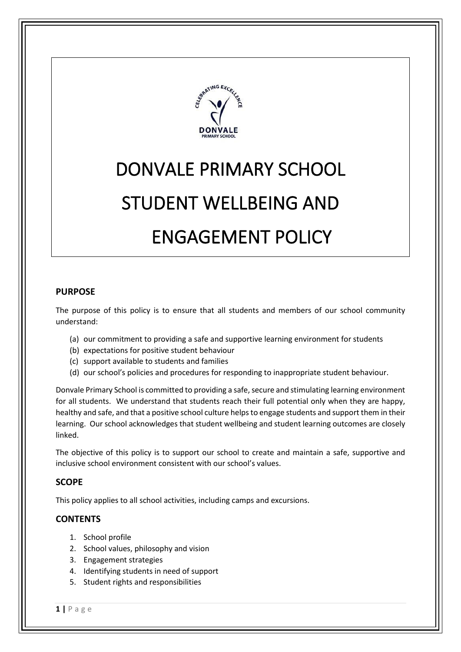

# DONVALE PRIMARY SCHOOL STUDENT WELLBEING AND ENGAGEMENT POLICY

## **PURPOSE**

The purpose of this policy is to ensure that all students and members of our school community understand:

- (a) our commitment to providing a safe and supportive learning environment for students
- (b) expectations for positive student behaviour
- (c) support available to students and families
- (d) our school's policies and procedures for responding to inappropriate student behaviour.

Donvale Primary School is committed to providing a safe, secure and stimulating learning environment for all students. We understand that students reach their full potential only when they are happy, healthy and safe, and that a positive school culture helps to engage students and support them in their learning. Our school acknowledges that student wellbeing and student learning outcomes are closely linked.

The objective of this policy is to support our school to create and maintain a safe, supportive and inclusive school environment consistent with our school's values.

# **SCOPE**

This policy applies to all school activities, including camps and excursions.

# **CONTENTS**

- 1. School profile
- 2. School values, philosophy and vision
- 3. Engagement strategies
- 4. Identifying students in need of support
- 5. Student rights and responsibilities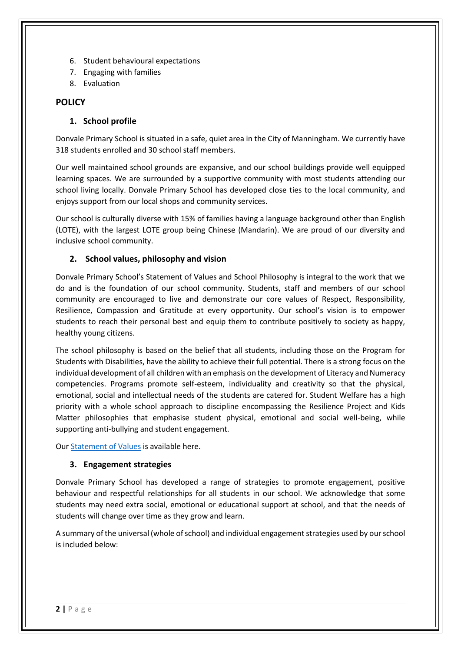- 6. Student behavioural expectations
- 7. Engaging with families
- 8. Evaluation

## **POLICY**

## **1. School profile**

Donvale Primary School is situated in a safe, quiet area in the City of Manningham. We currently have 318 students enrolled and 30 school staff members.

Our well maintained school grounds are expansive, and our school buildings provide well equipped learning spaces. We are surrounded by a supportive community with most students attending our school living locally. Donvale Primary School has developed close ties to the local community, and enjoys support from our local shops and community services.

Our school is culturally diverse with 15% of families having a language background other than English (LOTE), with the largest LOTE group being Chinese (Mandarin). We are proud of our diversity and inclusive school community.

## **2. School values, philosophy and vision**

Donvale Primary School's Statement of Values and School Philosophy is integral to the work that we do and is the foundation of our school community. Students, staff and members of our school community are encouraged to live and demonstrate our core values of Respect, Responsibility, Resilience, Compassion and Gratitude at every opportunity. Our school's vision is to empower students to reach their personal best and equip them to contribute positively to society as happy, healthy young citizens.

The school philosophy is based on the belief that all students, including those on the Program for Students with Disabilities, have the ability to achieve their full potential. There is a strong focus on the individual development of all children with an emphasis on the development of Literacy and Numeracy competencies. Programs promote self-esteem, individuality and creativity so that the physical, emotional, social and intellectual needs of the students are catered for. Student Welfare has a high priority with a whole school approach to discipline encompassing the Resilience Project and Kids Matter philosophies that emphasise student physical, emotional and social well-being, while supporting anti-bullying and student engagement.

Our [Statement of Values](http://donvaleps.vic.edu.au/wp-content/uploads/2011/03/DPS-Statement-of-Vision-and-Values-Promoting-Healthy-Safe-and-Respectful-Communities1.pdf) is available here.

#### **3. Engagement strategies**

Donvale Primary School has developed a range of strategies to promote engagement, positive behaviour and respectful relationships for all students in our school. We acknowledge that some students may need extra social, emotional or educational support at school, and that the needs of students will change over time as they grow and learn.

A summary of the universal (whole of school) and individual engagement strategies used by our school is included below: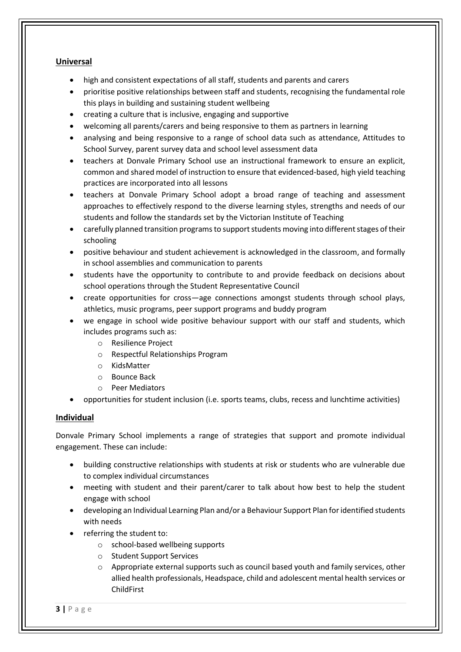### **Universal**

- high and consistent expectations of all staff, students and parents and carers
- prioritise positive relationships between staff and students, recognising the fundamental role this plays in building and sustaining student wellbeing
- creating a culture that is inclusive, engaging and supportive
- welcoming all parents/carers and being responsive to them as partners in learning
- analysing and being responsive to a range of school data such as attendance, Attitudes to School Survey, parent survey data and school level assessment data
- teachers at Donvale Primary School use an instructional framework to ensure an explicit, common and shared model of instruction to ensure that evidenced-based, high yield teaching practices are incorporated into all lessons
- teachers at Donvale Primary School adopt a broad range of teaching and assessment approaches to effectively respond to the diverse learning styles, strengths and needs of our students and follow the standards set by the Victorian Institute of Teaching
- carefully planned transition programs to support students moving into different stages of their schooling
- positive behaviour and student achievement is acknowledged in the classroom, and formally in school assemblies and communication to parents
- students have the opportunity to contribute to and provide feedback on decisions about school operations through the Student Representative Council
- create opportunities for cross—age connections amongst students through school plays, athletics, music programs, peer support programs and buddy program
- we engage in school wide positive behaviour support with our staff and students, which includes programs such as:
	- o Resilience Project
	- o Respectful Relationships Program
	- o KidsMatter
	- o Bounce Back
	- o Peer Mediators
- opportunities for student inclusion (i.e. sports teams, clubs, recess and lunchtime activities)

#### **Individual**

Donvale Primary School implements a range of strategies that support and promote individual engagement. These can include:

- building constructive relationships with students at risk or students who are vulnerable due to complex individual circumstances
- meeting with student and their parent/carer to talk about how best to help the student engage with school
- developing an Individual Learning Plan and/or a Behaviour Support Plan for identified students with needs
- referring the student to:
	- o school-based wellbeing supports
	- o Student Support Services
	- $\circ$  Appropriate external supports such as council based youth and family services, other allied health professionals, Headspace, child and adolescent mental health services or ChildFirst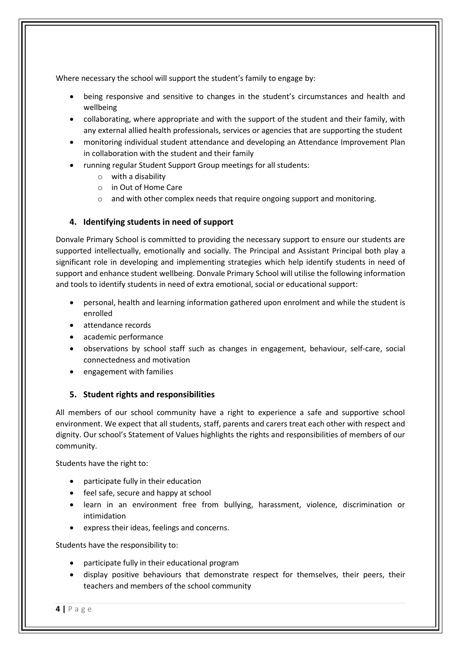Where necessary the school will support the student's family to engage by:

- being responsive and sensitive to changes in the student's circumstances and health and wellbeing
- collaborating, where appropriate and with the support of the student and their family, with any external allied health professionals, services or agencies that are supporting the student
- monitoring individual student attendance and developing an Attendance Improvement Plan in collaboration with the student and their family
- running regular Student Support Group meetings for all students:
	- o with a disability
	- o in Out of Home Care
	- o and with other complex needs that require ongoing support and monitoring.

## **4. Identifying students in need of support**

Donvale Primary School is committed to providing the necessary support to ensure our students are supported intellectually, emotionally and socially. The Principal and Assistant Principal both play a significant role in developing and implementing strategies which help identify students in need of support and enhance student wellbeing. Donvale Primary School will utilise the following information and tools to identify students in need of extra emotional, social or educational support:

- personal, health and learning information gathered upon enrolment and while the student is enrolled
- attendance records
- academic performance
- observations by school staff such as changes in engagement, behaviour, self-care, social connectedness and motivation
- engagement with families

# **5. Student rights and responsibilities**

All members of our school community have a right to experience a safe and supportive school environment. We expect that all students, staff, parents and carers treat each other with respect and dignity. Our school's Statement of Values highlights the rights and responsibilities of members of our community.

Students have the right to:

- participate fully in their education
- feel safe, secure and happy at school
- learn in an environment free from bullying, harassment, violence, discrimination or intimidation
- express their ideas, feelings and concerns.

Students have the responsibility to:

- participate fully in their educational program
- display positive behaviours that demonstrate respect for themselves, their peers, their teachers and members of the school community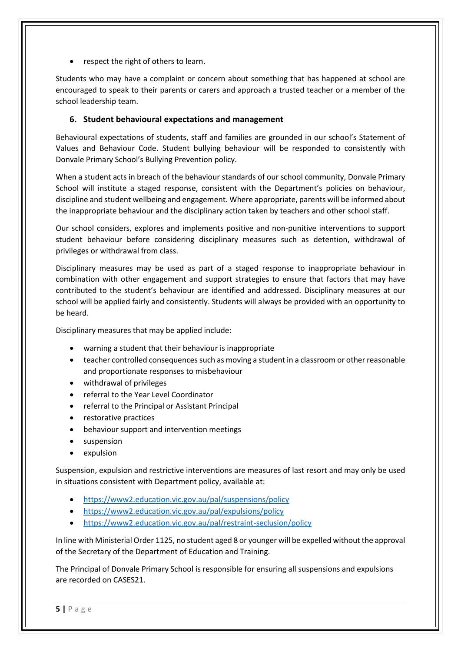respect the right of others to learn.

Students who may have a complaint or concern about something that has happened at school are encouraged to speak to their parents or carers and approach a trusted teacher or a member of the school leadership team.

#### **6. Student behavioural expectations and management**

Behavioural expectations of students, staff and families are grounded in our school's Statement of Values and Behaviour Code. Student bullying behaviour will be responded to consistently with Donvale Primary School's Bullying Prevention policy.

When a student acts in breach of the behaviour standards of our school community, Donvale Primary School will institute a staged response, consistent with the Department's policies on behaviour, discipline and student wellbeing and engagement. Where appropriate, parents will be informed about the inappropriate behaviour and the disciplinary action taken by teachers and other school staff.

Our school considers, explores and implements positive and non-punitive interventions to support student behaviour before considering disciplinary measures such as detention, withdrawal of privileges or withdrawal from class.

Disciplinary measures may be used as part of a staged response to inappropriate behaviour in combination with other engagement and support strategies to ensure that factors that may have contributed to the student's behaviour are identified and addressed. Disciplinary measures at our school will be applied fairly and consistently. Students will always be provided with an opportunity to be heard.

Disciplinary measures that may be applied include:

- warning a student that their behaviour is inappropriate
- teacher controlled consequences such as moving a student in a classroom or other reasonable and proportionate responses to misbehaviour
- withdrawal of privileges
- referral to the Year Level Coordinator
- referral to the Principal or Assistant Principal
- restorative practices
- behaviour support and intervention meetings
- suspension
- expulsion

Suspension, expulsion and restrictive interventions are measures of last resort and may only be used in situations consistent with Department policy, available at:

- <https://www2.education.vic.gov.au/pal/suspensions/policy>
- <https://www2.education.vic.gov.au/pal/expulsions/policy>
- <https://www2.education.vic.gov.au/pal/restraint-seclusion/policy>

In line with Ministerial Order 1125, no student aged 8 or younger will be expelled without the approval of the Secretary of the Department of Education and Training.

The Principal of Donvale Primary School is responsible for ensuring all suspensions and expulsions are recorded on CASES21.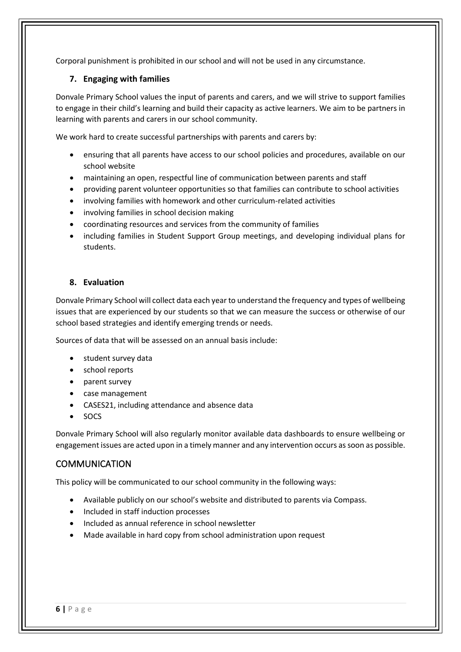Corporal punishment is prohibited in our school and will not be used in any circumstance.

#### **7. Engaging with families**

Donvale Primary School values the input of parents and carers, and we will strive to support families to engage in their child's learning and build their capacity as active learners. We aim to be partners in learning with parents and carers in our school community.

We work hard to create successful partnerships with parents and carers by:

- ensuring that all parents have access to our school policies and procedures, available on our school website
- maintaining an open, respectful line of communication between parents and staff
- providing parent volunteer opportunities so that families can contribute to school activities
- involving families with homework and other curriculum-related activities
- involving families in school decision making
- coordinating resources and services from the community of families
- including families in Student Support Group meetings, and developing individual plans for students.

#### **8. Evaluation**

Donvale Primary School will collect data each year to understand the frequency and types of wellbeing issues that are experienced by our students so that we can measure the success or otherwise of our school based strategies and identify emerging trends or needs.

Sources of data that will be assessed on an annual basis include:

- student survey data
- school reports
- parent survey
- case management
- CASES21, including attendance and absence data
- SOCS

Donvale Primary School will also regularly monitor available data dashboards to ensure wellbeing or engagement issues are acted upon in a timely manner and any intervention occurs as soon as possible.

# **COMMUNICATION**

This policy will be communicated to our school community in the following ways:

- Available publicly on our school's website and distributed to parents via Compass.
- Included in staff induction processes
- Included as annual reference in school newsletter
- Made available in hard copy from school administration upon request